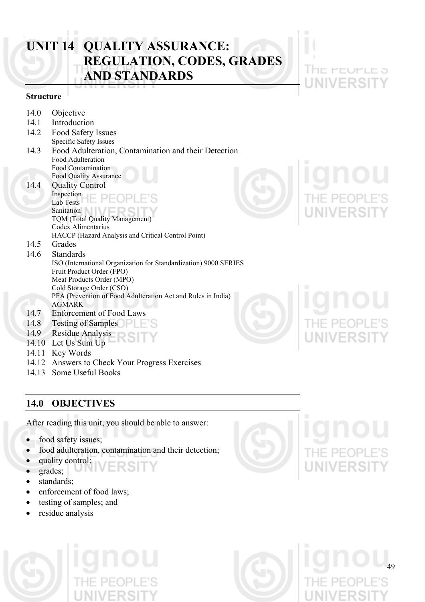## **UNIT 14 QUALITY ASSURANCE: REGULATION, CODES, GRADES AND STANDARDS**

## **Structure**

- 14.0 Objective
- 14.1 Introduction
- 14.2 Food Safety Issues Specific Safety Issues
- 14.3 Food Adulteration, Contamination and their Detection Food Adulteration Food Contamination Food Quality Assurance
- 14.4 Quality Control Inspection Lab Tests Sanitation TQM (Total Quality Management)

 Codex Alimentarius HACCP (Hazard Analysis and Critical Control Point)

- 14.5 Grades
- 14.6 Standards ISO (International Organization for Standardization) 9000 SERIES Fruit Product Order (FPO) Meat Products Order (MPO) Cold Storage Order (CSO) PFA (Prevention of Food Adulteration Act and Rules in India) AGMARK 14.7 Enforcement of Food Laws
- 
- 14.8 Testing of Samples
- 14.9 Residue Analysis
- 14.10 Let Us Sum Up
- 14.11 Key Words
- 14.12 Answers to Check Your Progress Exercises
- 14.13 Some Useful Books

## **14.0 OBJECTIVES**

After reading this unit, you should be able to answer:

- food safety issues;
- food adulteration, contamination and their detection;
- quality control;
- grades;
- standards:
- enforcement of food laws;
- testing of samples; and
- residue analysis





**HE PEUPLE 5** 



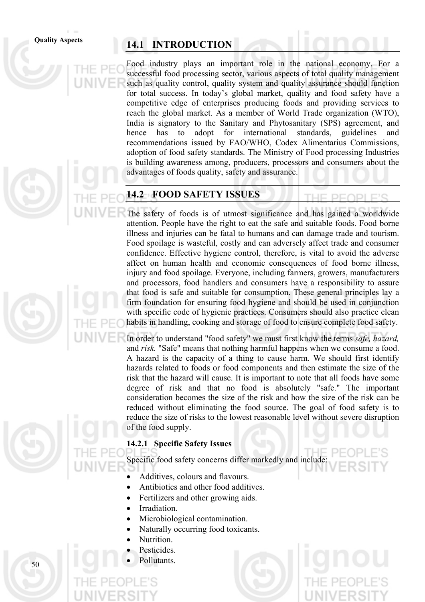## Quality Aspects **14.1 INTRODUCTION**

Food industry plays an important role in the national economy. For a successful food processing sector, various aspects of total quality management such as quality control, quality system and quality assurance should function for total success. In today's global market, quality and food safety have a competitive edge of enterprises producing foods and providing services to reach the global market. As a member of World Trade organization (WTO), India is signatory to the Sanitary and Phytosanitary (SPS) agreement, and hence has to adopt for international standards, guidelines and recommendations issued by FAO/WHO, Codex Alimentarius Commissions, adoption of food safety standards. The Ministry of Food processing Industries is building awareness among, producers, processors and consumers about the advantages of foods quality, safety and assurance.

## **14.2 FOOD SAFETY ISSUES**

The safety of foods is of utmost significance and has gained a worldwide attention. People have the right to eat the safe and suitable foods. Food borne illness and injuries can be fatal to humans and can damage trade and tourism. Food spoilage is wasteful, costly and can adversely affect trade and consumer confidence. Effective hygiene control, therefore, is vital to avoid the adverse affect on human health and economic consequences of food borne illness, injury and food spoilage. Everyone, including farmers, growers, manufacturers and processors, food handlers and consumers have a responsibility to assure that food is safe and suitable for consumption. These general principles lay a firm foundation for ensuring food hygiene and should be used in conjunction with specific code of hygienic practices. Consumers should also practice clean habits in handling, cooking and storage of food to ensure complete food safety.

In order to understand "food safety" we must first know the terms *safe, hazard,*  and *risk.* "Safe" means that nothing harmful happens when we consume a food. A hazard is the capacity of a thing to cause harm. We should first identify hazards related to foods or food components and then estimate the size of the risk that the hazard will cause. It is important to note that all foods have some degree of risk and that no food is absolutely "safe." The important consideration becomes the size of the risk and how the size of the risk can be reduced without eliminating the food source. The goal of food safety is to reduce the size of risks to the lowest reasonable level without severe disruption of the food supply.

## **14.2.1 Specific Safety Issues**

Specific food safety concerns differ markedly and include:

- Additives, colours and flavours.
- Antibiotics and other food additives.
- Fertilizers and other growing aids.
- Irradiation.
- Microbiological contamination.
- Naturally occurring food toxicants.
- Nutrition.
- Pesticides.
- Pollutants.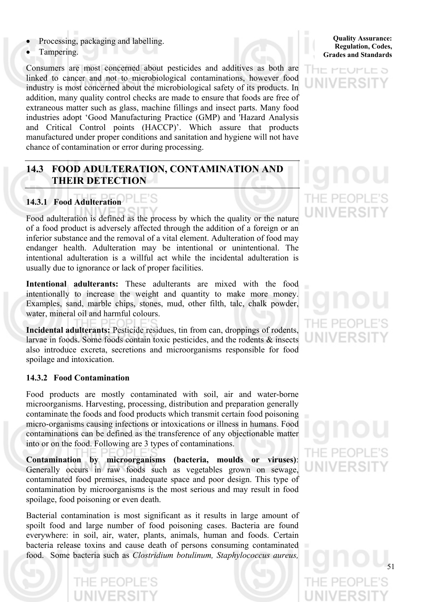- Processing, packaging and labelling.
- Tampering.

Consumers are most concerned about pesticides and additives as both are linked to cancer and not to microbiological contaminations, however food industry is most concerned about the microbiological safety of its products. In addition, many quality control checks are made to ensure that foods are free of extraneous matter such as glass, machine fillings and insect parts. Many food industries adopt 'Good Manufacturing Practice (GMP) and 'Hazard Analysis and Critical Control points (HACCP)'. Which assure that products manufactured under proper conditions and sanitation and hygiene will not have chance of contamination or error during processing.

## **14.3 FOOD ADULTERATION, CONTAMINATION AND THEIR DETECTION**

## **14.3.1 Food Adulteration**

Food adulteration is defined as the process by which the quality or the nature of a food product is adversely affected through the addition of a foreign or an inferior substance and the removal of a vital element. Adulteration of food may endanger health. Adulteration may be intentional or unintentional. The intentional adulteration is a willful act while the incidental adulteration is usually due to ignorance or lack of proper facilities.

**Intentional adulterants:** These adulterants are mixed with the food intentionally to increase the weight and quantity to make more money. Examples, sand, marble chips, stones, mud, other filth, talc, chalk powder, water, mineral oil and harmful colours.

**Incidental adulterants:** Pesticide residues, tin from can, droppings of rodents, larvae in foods. Some foods contain toxic pesticides, and the rodents & insects also introduce excreta, secretions and microorganisms responsible for food spoilage and intoxication.

## **14.3.2 Food Contamination**

Food products are mostly contaminated with soil, air and water-borne microorganisms. Harvesting, processing, distribution and preparation generally contaminate the foods and food products which transmit certain food poisoning micro-organisms causing infections or intoxications or illness in humans. Food contaminations can be defined as the transference of any objectionable matter into or on the food. Following are 3 types of contaminations.

**Contamination by microorganisms (bacteria, moulds or viruses)**: Generally occurs in raw foods such as vegetables grown on sewage, contaminated food premises, inadequate space and poor design. This type of contamination by microorganisms is the most serious and may result in food spoilage, food poisoning or even death.

Bacterial contamination is most significant as it results in large amount of spoilt food and large number of food poisoning cases. Bacteria are found everywhere: in soil, air, water, plants, animals, human and foods. Certain bacteria release toxins and cause death of persons consuming contaminated food. Some bacteria such as *Clostridium botulinum, Staphylococcus aureus,* 

 $PF($ 

**Quality Assurance: Regulation, Codes, Grades and Standards**

## I HE PEUPLE 5 INIVERSI

## THE PEOP **UNIVERS**

# THE PE(

# THE PEC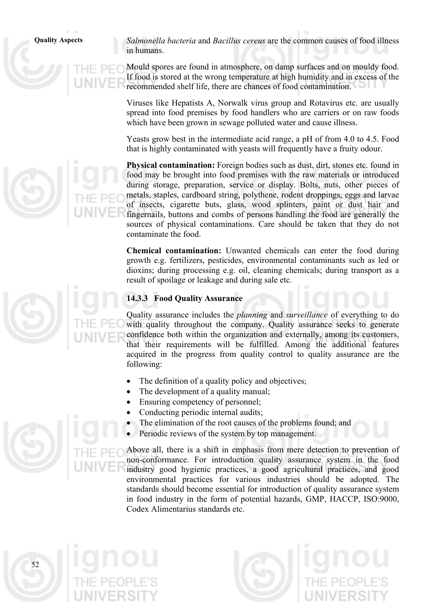$52$ 

**Quality Aspects** *Salmonella bacteria* and *Bacillus cereus* are the common causes of food illness in humans.

> Mould spores are found in atmosphere, on damp surfaces and on mouldy food. If food is stored at the wrong temperature at high humidity and in excess of the recommended shelf life, there are chances of food contamination.

Viruses like Hepatists A, Norwalk virus group and Rotavirus etc. are usually spread into food premises by food handlers who are carriers or on raw foods which have been grown in sewage polluted water and cause illness.

Yeasts grow best in the intermediate acid range, a pH of from 4.0 to 4.5. Food that is highly contaminated with yeasts will frequently have a fruity odour.

**Physical contamination:** Foreign bodies such as dust, dirt, stones etc. found in food may be brought into food premises with the raw materials or introduced during storage, preparation, service or display. Bolts, nuts, other pieces of metals, staples, cardboard string, polythene, rodent droppings, eggs and larvae of insects, cigarette buts, glass, wood splinters, paint or dust hair and fingernails, buttons and combs of persons handling the food are generally the sources of physical contaminations. Care should be taken that they do not contaminate the food.

**Chemical contamination:** Unwanted chemicals can enter the food during growth e.g. fertilizers, pesticides, environmental contaminants such as led or dioxins; during processing e.g. oil, cleaning chemicals; during transport as a result of spoilage or leakage and during sale etc.

## **14.3.3 Food Quality Assurance**

Quality assurance includes the *planning* and *surveillance* of everything to do with quality throughout the company. Quality assurance seeks to generate confidence both within the organization and externally, among its customers, that their requirements will be fulfilled. Among the additional features acquired in the progress from quality control to quality assurance are the following:

- The definition of a quality policy and objectives;
- The development of a quality manual;
- Ensuring competency of personnel;
- Conducting periodic internal audits;
- The elimination of the root causes of the problems found; and
- Periodic reviews of the system by top management.

Above all, there is a shift in emphasis from mere detection to prevention of non-conformance. For introduction quality assurance system in the food industry good hygienic practices, a good agricultural practices, and good environmental practices for various industries should be adopted. The standards should become essential for introduction of quality assurance system in food industry in the form of potential hazards, GMP, HACCP, ISO:9000, Codex Alimentarius standards etc.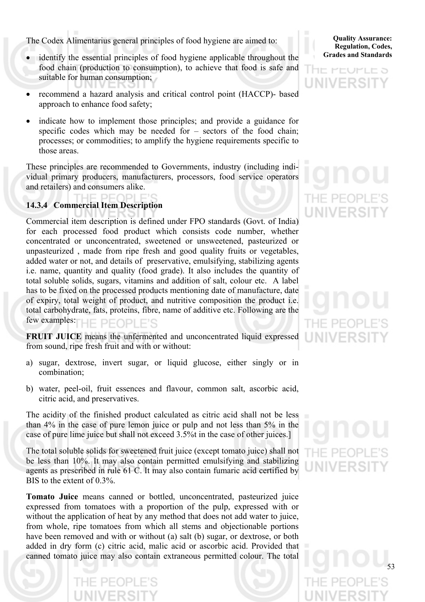The Codex Alimentarius general principles of food hygiene are aimed to:

- identify the essential principles of food hygiene applicable throughout the food chain (production to consumption), to achieve that food is safe and suitable for human consumption;
- recommend a hazard analysis and critical control point (HACCP)- based approach to enhance food safety;
- indicate how to implement those principles; and provide a guidance for specific codes which may be needed for – sectors of the food chain; processes; or commodities; to amplify the hygiene requirements specific to those areas.

These principles are recommended to Governments, industry (including individual primary producers, manufacturers, processors, food service operators and retailers) and consumers alike.

## **14.3.4 Commercial Item Description**

Commercial item description is defined under FPO standards (Govt. of India) for each processed food product which consists code number, whether concentrated or unconcentrated, sweetened or unsweetened, pasteurized or unpasteurized , made from ripe fresh and good quality fruits or vegetables, added water or not, and details of preservative, emulsifying, stabilizing agents i.e. name, quantity and quality (food grade). It also includes the quantity of total soluble solids, sugars, vitamins and addition of salt, colour etc. A label has to be fixed on the processed products mentioning date of manufacture, date of expiry, total weight of product, and nutritive composition the product i.e. total carbohydrate, fats, proteins, fibre, name of additive etc. Following are the few examples: IF PFOPLE'S

**FRUIT JUICE** means the unfermented and unconcentrated liquid expressed from sound, ripe fresh fruit and with or without:

- a) sugar, dextrose, invert sugar, or liquid glucose, either singly or in combination;
- b) water, peel-oil, fruit essences and flavour, common salt, ascorbic acid, citric acid, and preservatives.

The acidity of the finished product calculated as citric acid shall not be less than 4% in the case of pure lemon juice or pulp and not less than 5% in the case of pure lime juice but shall not exceed 3.5%t in the case of other juices.]

The total soluble solids for sweetened fruit juice (except tomato juice) shall not be less than 10%. It may also contain permitted emulsifying and stabilizing agents as prescribed in rule 61 C. It may also contain fumaric acid certified by BIS to the extent of 0.3%.

**Tomato Juice** means canned or bottled, unconcentrated, pasteurized juice expressed from tomatoes with a proportion of the pulp, expressed with or without the application of heat by any method that does not add water to juice, from whole, ripe tomatoes from which all stems and objectionable portions have been removed and with or without (a) salt (b) sugar, or dextrose, or both added in dry form (c) citric acid, malic acid or ascorbic acid. Provided that canned tomato juice may also contain extraneous permitted colour. The total

**Quality Assurance: Regulation, Codes, Grades and Standards**



## THE PEC

# $PE($

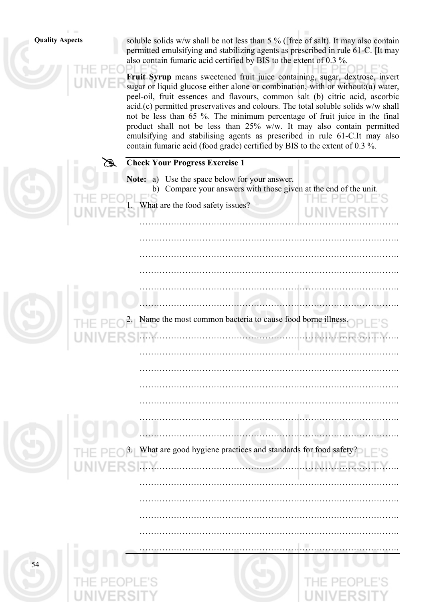**Quality Aspects** soluble solids w/w shall be not less than 5 % ([free of salt). It may also contain permitted emulsifying and stabilizing agents as prescribed in rule 61-C. [It may also contain fumaric acid certified by BIS to the extent of 0.3 %.

> **Fruit Syrup** means sweetened fruit juice containing, sugar, dextrose, invert sugar or liquid glucose either alone or combination, with or without:(a) water, peel-oil, fruit essences and flavours, common salt (b) citric acid, ascorbic acid.(c) permitted preservatives and colours. The total soluble solids w/w shall not be less than 65 %. The minimum percentage of fruit juice in the final product shall not be less than 25% w/w. It may also contain permitted emulsifying and stabilising agents as prescribed in rule 61-C.It may also contain fumaric acid (food grade) certified by BIS to the extent of 0.3 %.

## **Check Your Progress Exercise 1**

**Note:** a) Use the space below for your answer. b) Compare your answers with those given at the end of the unit. What are the food safety issues?

……………………………………………………………………………….

……………………………………………………………………………….

……………………………………………………………………………….

……………………………………………………………………………….

……………………………………………………………………………….

……………………………………………………………………………….

……………………………………………………………………………….

……………………………………………………………………………….

……………………………………………………………………………….

|  | THE  |
|--|------|
|  | UNIV |

 ………………………………………………………………………………. Name the most common bacteria to cause food borne illness. ………………………………………………………………………………. ……………………………………………………………………………….

……………………………………………………………………………….

#

What are good hygiene practices and standards for food safety?

……………………………………………………………………………….

……………………………………………………………………………….

……………………………………………………………………………….

……………………………………………………………………………….

……………………………………………………………………………….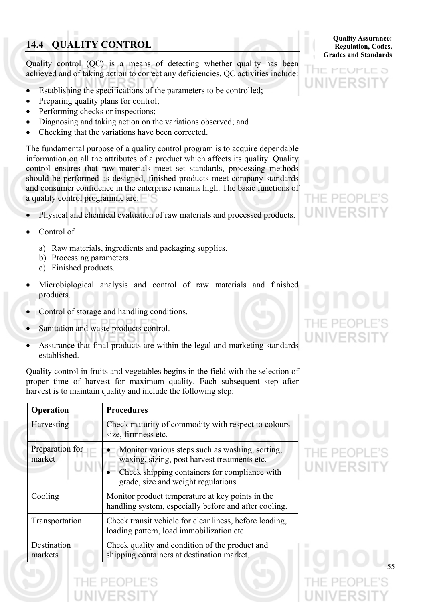## **14.4 QUALITY CONTROL**

Quality control (QC) is a means of detecting whether quality has been achieved and of taking action to correct any deficiencies. QC activities include:

- Establishing the specifications of the parameters to be controlled;
- Preparing quality plans for control;
- Performing checks or inspections;
- Diagnosing and taking action on the variations observed; and
- Checking that the variations have been corrected.

The fundamental purpose of a quality control program is to acquire dependable information on all the attributes of a product which affects its quality. Quality control ensures that raw materials meet set standards, processing methods should be performed as designed, finished products meet company standards and consumer confidence in the enterprise remains high. The basic functions of a quality control programme are:

- Physical and chemical evaluation of raw materials and processed products.
- Control of
	- a) Raw materials, ingredients and packaging supplies.
	- b) Processing parameters.
	- c) Finished products.
- Microbiological analysis and control of raw materials and finished products.
- Control of storage and handling conditions.
- Sanitation and waste products control.
- Assurance that final products are within the legal and marketing standards established.

Quality control in fruits and vegetables begins in the field with the selection of proper time of harvest for maximum quality. Each subsequent step after harvest is to maintain quality and include the following step:

| Operation                 | <b>Procedures</b>                                                                                                                                                                       |  |
|---------------------------|-----------------------------------------------------------------------------------------------------------------------------------------------------------------------------------------|--|
| Harvesting                | Check maturity of commodity with respect to colours<br>size, firmness etc.                                                                                                              |  |
| Preparation for<br>market | Monitor various steps such as washing, sorting,<br>waxing, sizing, post harvest treatments etc.<br>Check shipping containers for compliance with<br>grade, size and weight regulations. |  |
| Cooling                   | Monitor product temperature at key points in the<br>handling system, especially before and after cooling.                                                                               |  |
| Transportation            | Check transit vehicle for cleanliness, before loading,<br>loading pattern, load immobilization etc.                                                                                     |  |
| Destination<br>markets    | Check quality and condition of the product and<br>shipping containers at destination market.                                                                                            |  |

**Quality Assurance: Regulation, Codes, Grades and Standards**

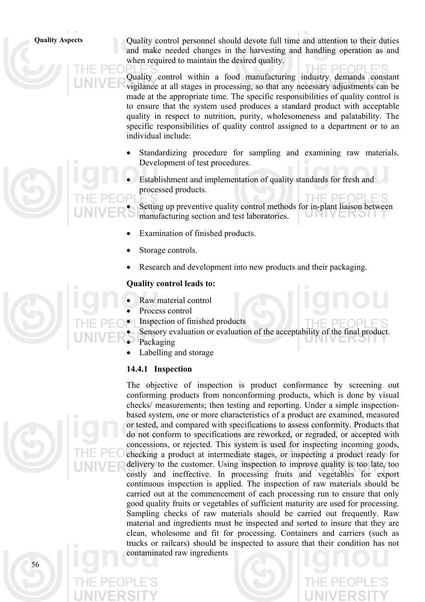**Quality Aspects** Quality control personnel should devote full time and attention to their duties and make needed changes in the harvesting and handling operation as and when required to maintain the desired quality.

> Quality control within a food manufacturing industry demands constant vigilance at all stages in processing, so that any necessary adjustments can be made at the appropriate time. The specific responsibilities of quality control is to ensure that the system used produces a standard product with acceptable quality in respect to nutrition, purity, wholesomeness and palatability. The specific responsibilities of quality control assigned to a department or to an individual include:

- Standardizing procedure for sampling and examining raw materials. Development of test procedures.
- Establishment and implementation of quality standards for fresh and processed products.

Setting up preventive quality control methods for in-plant liaison between manufacturing section and test laboratories.

- Examination of finished products.
- Storage controls.
- Research and development into new products and their packaging.

### **Quality control leads to:**

- Raw material control
- Process control
- Inspection of finished products
	- Sensory evaluation or evaluation of the acceptability of the final product.
- **Packaging** 
	- Labelling and storage

## **14.4.1 Inspection**



The objective of inspection is product conformance by screening out conforming products from nonconforming products, which is done by visual checks/ measurements; then testing and reporting. Under a simple inspectionbased system, one or more characteristics of a product are examined, measured or tested, and compared with specifications to assess conformity. Products that do not conform to specifications are reworked, or regraded, or accepted with concessions, or rejected. This system is used for inspecting incoming goods, checking a product at intermediate stages, or inspecting a product ready for delivery to the customer. Using inspection to improve quality is too late, too costly and ineffective. In processing fruits and vegetables for export continuous inspection is applied. The inspection of raw materials should be carried out at the commencement of each processing run to ensure that only good quality fruits or vegetables of sufficient maturity are used for processing. Sampling checks of raw materials should be carried out frequently. Raw material and ingredients must be inspected and sorted to insure that they are clean, wholesome and fit for processing. Containers and carriers (such as trucks or railcars) should be inspected to assure that their condition has not contaminated raw ingredients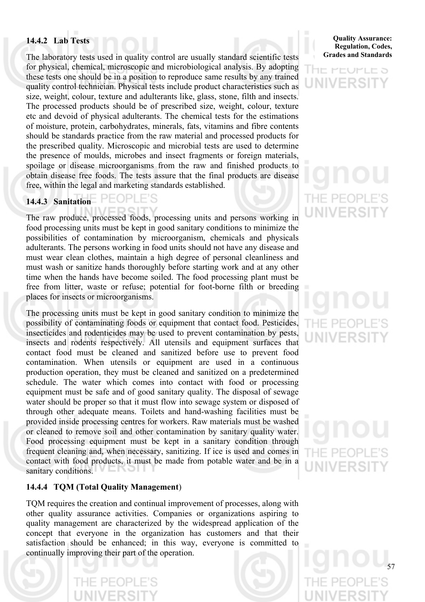## **14.4.2 Lab Tests**

The laboratory tests used in quality control are usually standard scientific tests for physical, chemical, microscopic and microbiological analysis. By adopting these tests one should be in a position to reproduce same results by any trained quality control technician. Physical tests include product characteristics such as size, weight, colour, texture and adulterants like, glass, stone, filth and insects. The processed products should be of prescribed size, weight, colour, texture etc and devoid of physical adulterants. The chemical tests for the estimations of moisture, protein, carbohydrates, minerals, fats, vitamins and fibre contents should be standards practice from the raw material and processed products for the prescribed quality. Microscopic and microbial tests are used to determine the presence of moulds, microbes and insect fragments or foreign materials, spoilage or disease microorganisms from the raw and finished products to obtain disease free foods. The tests assure that the final products are disease free, within the legal and marketing standards established.

### PFOPLE'S **14.4.3 Sanitation**

The raw produce, processed foods, processing units and persons working in food processing units must be kept in good sanitary conditions to minimize the possibilities of contamination by microorganism, chemicals and physicals adulterants. The persons working in food units should not have any disease and must wear clean clothes, maintain a high degree of personal cleanliness and must wash or sanitize hands thoroughly before starting work and at any other time when the hands have become soiled. The food processing plant must be free from litter, waste or refuse; potential for foot-borne filth or breeding places for insects or microorganisms.

The processing units must be kept in good sanitary condition to minimize the possibility of contaminating foods or equipment that contact food. Pesticides, insecticides and rodenticides may be used to prevent contamination by pests, insects and rodents respectively. All utensils and equipment surfaces that contact food must be cleaned and sanitized before use to prevent food contamination. When utensils or equipment are used in a continuous production operation, they must be cleaned and sanitized on a predetermined schedule. The water which comes into contact with food or processing equipment must be safe and of good sanitary quality. The disposal of sewage water should be proper so that it must flow into sewage system or disposed of through other adequate means. Toilets and hand-washing facilities must be provided inside processing centres for workers. Raw materials must be washed or cleaned to remove soil and other contamination by sanitary quality water. Food processing equipment must be kept in a sanitary condition through frequent cleaning and, when necessary, sanitizing. If ice is used and comes in contact with food products, it must be made from potable water and be in a sanitary conditions.

## **14.4.4 TQM (Total Quality Management**)

TQM requires the creation and continual improvement of processes, along with other quality assurance activities. Companies or organizations aspiring to quality management are characterized by the widespread application of the concept that everyone in the organization has customers and that their satisfaction should be enhanced; in this way, everyone is committed to continually improving their part of the operation.

**Quality Assurance: Regulation, Codes, Grades and Standards**

HE MEUMLE 5 **INNERS** 

## THE PE( IINIVERS

## РE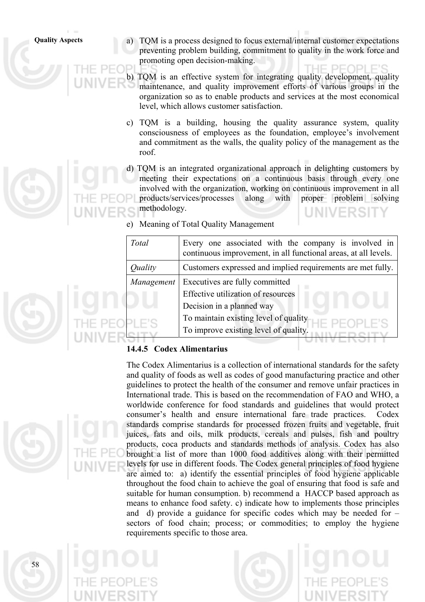**Quality Aspects** a) TQM is a process designed to focus external/internal customer expectations preventing problem building, commitment to quality in the work force and promoting open decision-making.

> b) TQM is an effective system for integrating quality development, quality maintenance, and quality improvement efforts of various groups in the organization so as to enable products and services at the most economical level, which allows customer satisfaction.

- c) TQM is a building, housing the quality assurance system, quality consciousness of employees as the foundation, employee's involvement and commitment as the walls, the quality policy of the management as the roof.
- d) TQM is an integrated organizational approach in delighting customers by meeting their expectations on a continuous basis through every one involved with the organization, working on continuous improvement in all products/services/processes along with proper problem solving methodology.
- e) Meaning of Total Quality Management

| Total      | Every one associated with the company is involved in<br>continuous improvement, in all functional areas, at all levels. |
|------------|-------------------------------------------------------------------------------------------------------------------------|
| Quality    | Customers expressed and implied requirements are met fully.                                                             |
| Management | Executives are fully committed                                                                                          |
|            | Effective utilization of resources                                                                                      |
|            | Decision in a planned way                                                                                               |
|            | To maintain existing level of quality                                                                                   |
|            | To improve existing level of quality.                                                                                   |
|            |                                                                                                                         |

## **14.4.5 Codex Alimentarius**



The Codex Alimentarius is a collection of international standards for the safety and quality of foods as well as codes of good manufacturing practice and other guidelines to protect the health of the consumer and remove unfair practices in International trade. This is based on the recommendation of FAO and WHO, a worldwide conference for food standards and guidelines that would protect consumer's health and ensure international fare trade practices. Codex standards comprise standards for processed frozen fruits and vegetable, fruit juices, fats and oils, milk products, cereals and pulses, fish and poultry products, coca products and standards methods of analysis. Codex has also brought a list of more than 1000 food additives along with their permitted levels for use in different foods. The Codex general principles of food hygiene are aimed to: a) identify the essential principles of food hygiene applicable throughout the food chain to achieve the goal of ensuring that food is safe and suitable for human consumption. b) recommend a HACCP based approach as means to enhance food safety. c) indicate how to implements those principles and d) provide a guidance for specific codes which may be needed for – sectors of food chain; process; or commodities; to employ the hygiene requirements specific to those area.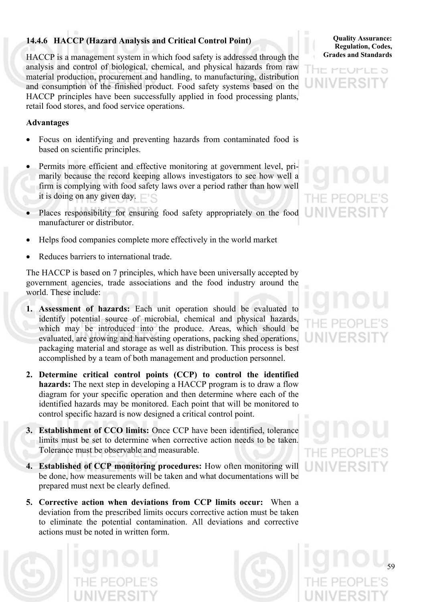## **14.4.6 HACCP (Hazard Analysis and Critical Control Point)**

HACCP is a management system in which food safety is addressed through the analysis and control of biological, chemical, and physical hazards from raw material production, procurement and handling, to manufacturing, distribution and consumption of the finished product. Food safety systems based on the HACCP principles have been successfully applied in food processing plants, retail food stores, and food service operations.

## **Advantages**

- Focus on identifying and preventing hazards from contaminated food is based on scientific principles.
- Permits more efficient and effective monitoring at government level, primarily because the record keeping allows investigators to see how well a firm is complying with food safety laws over a period rather than how well it is doing on any given day.
- Places responsibility for ensuring food safety appropriately on the food manufacturer or distributor.
- Helps food companies complete more effectively in the world market
- Reduces barriers to international trade.

The HACCP is based on 7 principles, which have been universally accepted by government agencies, trade associations and the food industry around the world. These include:

- **1. Assessment of hazards:** Each unit operation should be evaluated to identify potential source of microbial, chemical and physical hazards, which may be introduced into the produce. Areas, which should be evaluated, are growing and harvesting operations, packing shed operations, packaging material and storage as well as distribution. This process is best accomplished by a team of both management and production personnel.
- **2. Determine critical control points (CCP) to control the identified hazards:** The next step in developing a HACCP program is to draw a flow diagram for your specific operation and then determine where each of the identified hazards may be monitored. Each point that will be monitored to control specific hazard is now designed a critical control point.
- **3. Establishment of CCO limits:** Once CCP have been identified, tolerance limits must be set to determine when corrective action needs to be taken. Tolerance must be observable and measurable.
- **4. Established of CCP monitoring procedures:** How often monitoring will be done, how measurements will be taken and what documentations will be prepared must next be clearly defined.
- **5. Corrective action when deviations from CCP limits occur:** When a deviation from the prescribed limits occurs corrective action must be taken to eliminate the potential contamination. All deviations and corrective actions must be noted in written form.





**Quality Assurance: Regulation, Codes, Grades and Standards**



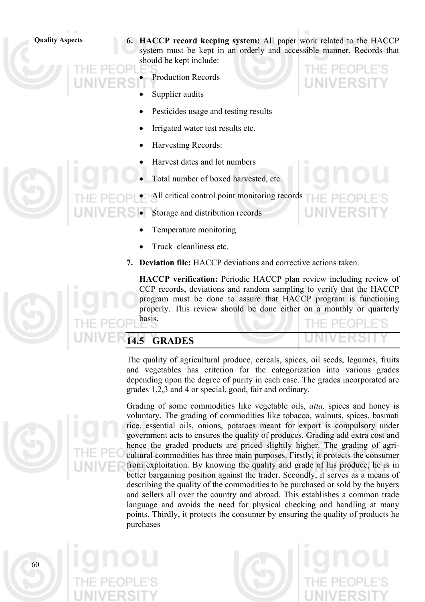**Quality Aspects 6. HACCP record keeping system:** All paper work related to the HACCP system must be kept in an orderly and accessible manner. Records that should be kept include:

- Production Records
- Supplier audits
- Pesticides usage and testing results
- Irrigated water test results etc.
- Harvesting Records:
- Harvest dates and lot numbers
- Total number of boxed harvested, etc.
- All critical control point monitoring records
	- Storage and distribution records
		- Temperature monitoring
		- Truck cleanliness etc.
	- **7. Deviation file:** HACCP deviations and corrective actions taken.

**HACCP verification:** Periodic HACCP plan review including review of CCP records, deviations and random sampling to verify that the HACCP program must be done to assure that HACCP program is functioning properly. This review should be done either on a monthly or quarterly basis. THE BEABLER

|                            | LVI       |
|----------------------------|-----------|
| $\blacksquare$ 14.5 GRADES | UNIVERUIT |

The quality of agricultural produce, cereals, spices, oil seeds, legumes, fruits and vegetables has criterion for the categorization into various grades depending upon the degree of purity in each case. The grades incorporated are grades 1,2,3 and 4 or special, good, fair and ordinary.

Grading of some commodities like vegetable oils, *atta,* spices and honey is voluntary. The grading of commodities like tobacco, walnuts, spices, basmati rice, essential oils, onions, potatoes meant for export is compulsory under government acts to ensures the quality of produces. Grading add extra cost and hence the graded products are priced slightly higher. The grading of agricultural commodities has three main purposes. Firstly, it protects the consumer from exploitation. By knowing the quality and grade of his produce, he is in better bargaining position against the trader. Secondly, it serves as a means of describing the quality of the commodities to be purchased or sold by the buyers and sellers all over the country and abroad. This establishes a common trade language and avoids the need for physical checking and handling at many points. Thirdly, it protects the consumer by ensuring the quality of products he purchases

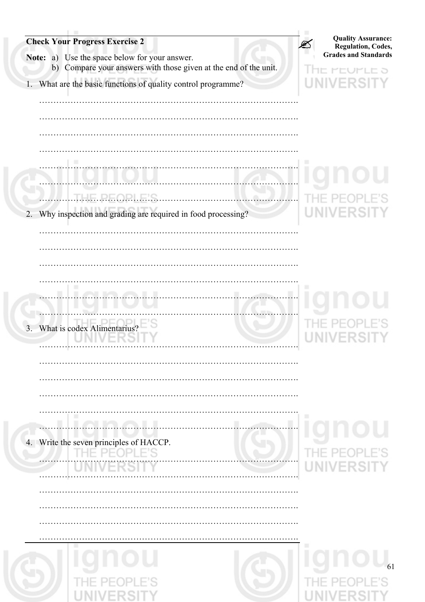| <b>Check Your Progress Exercise 2</b><br>Note: a) Use the space below for your answer.<br>b) Compare your answers with those given at the end of the unit. | <b>Quality Assurance:</b><br><b>Regulation, Codes,</b><br><b>Grades and Standards</b><br><b>MEUMLE</b> |
|------------------------------------------------------------------------------------------------------------------------------------------------------------|--------------------------------------------------------------------------------------------------------|
| 1. What are the basic functions of quality control programme?                                                                                              | ь                                                                                                      |
|                                                                                                                                                            |                                                                                                        |
|                                                                                                                                                            |                                                                                                        |
|                                                                                                                                                            |                                                                                                        |
|                                                                                                                                                            |                                                                                                        |
| Why inspection and grading are required in food processing?<br>2.                                                                                          |                                                                                                        |
|                                                                                                                                                            |                                                                                                        |
|                                                                                                                                                            |                                                                                                        |
|                                                                                                                                                            |                                                                                                        |
|                                                                                                                                                            |                                                                                                        |
| .                                                                                                                                                          |                                                                                                        |
| 3.<br>What is codex Alimentarius?                                                                                                                          |                                                                                                        |
|                                                                                                                                                            |                                                                                                        |
|                                                                                                                                                            |                                                                                                        |
|                                                                                                                                                            |                                                                                                        |
|                                                                                                                                                            | ш                                                                                                      |
|                                                                                                                                                            |                                                                                                        |
| 4. Write the seven principles of HACCP.<br>NPI F'<br><b>PF</b>                                                                                             |                                                                                                        |
|                                                                                                                                                            | <b>IVERST</b><br>U                                                                                     |
|                                                                                                                                                            |                                                                                                        |
|                                                                                                                                                            |                                                                                                        |
|                                                                                                                                                            |                                                                                                        |
|                                                                                                                                                            |                                                                                                        |
|                                                                                                                                                            | 61                                                                                                     |
|                                                                                                                                                            |                                                                                                        |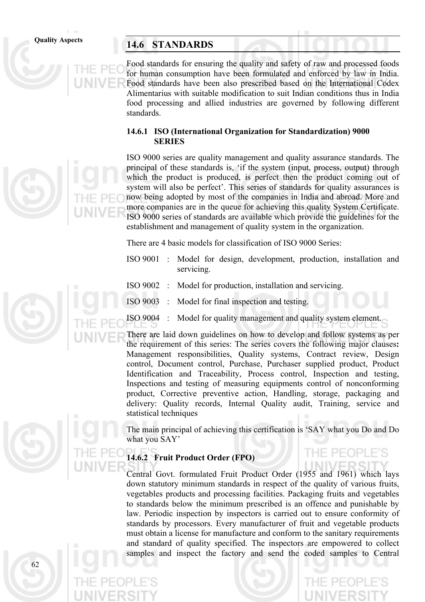62

## **Quality Aspects 14.6 STANDARDS**

Food standards for ensuring the quality and safety of raw and processed foods for human consumption have been formulated and enforced by law in India. Food standards have been also prescribed based on the International Codex Alimentarius with suitable modification to suit Indian conditions thus in India food processing and allied industries are governed by following different standards.

## **14.6.1 ISO (International Organization for Standardization) 9000 SERIES**

ISO 9000 series are quality management and quality assurance standards. The principal of these standards is, 'if the system (input, process, output) through which the product is produced, is perfect then the product coming out of system will also be perfect'. This series of standards for quality assurances is now being adopted by most of the companies in India and abroad. More and more companies are in the queue for achieving this quality System Certificate. ISO 9000 series of standards are available which provide the guidelines for the establishment and management of quality system in the organization.

There are 4 basic models for classification of ISO 9000 Series:

- ISO 9001 : Model for design, development, production, installation and servicing.
- ISO 9002 : Model for production, installation and servicing.
- ISO 9003 : Model for final inspection and testing.
- ISO 9004 : Model for quality management and quality system element.

There are laid down guidelines on how to develop and follow systems as per the requirement of this series: The series covers the following major clauses**:** Management responsibilities, Quality systems, Contract review, Design control, Document control, Purchase, Purchaser supplied product, Product Identification and Traceability, Process control, Inspection and testing, Inspections and testing of measuring equipments control of nonconforming product, Corrective preventive action, Handling, storage, packaging and delivery: Quality records, Internal Quality audit, Training, service and statistical techniques

The main principal of achieving this certification is 'SAY what you Do and Do what you SAY'

PFOPLE'S

## **14.6.2 Fruit Product Order (FPO)**

Central Govt. formulated Fruit Product Order (1955 and 1961) which lays down statutory minimum standards in respect of the quality of various fruits, vegetables products and processing facilities. Packaging fruits and vegetables to standards below the minimum prescribed is an offence and punishable by law. Periodic inspection by inspectors is carried out to ensure conformity of standards by processors. Every manufacturer of fruit and vegetable products must obtain a license for manufacture and conform to the sanitary requirements and standard of quality specified. The inspectors are empowered to collect samples and inspect the factory and send the coded samples to Central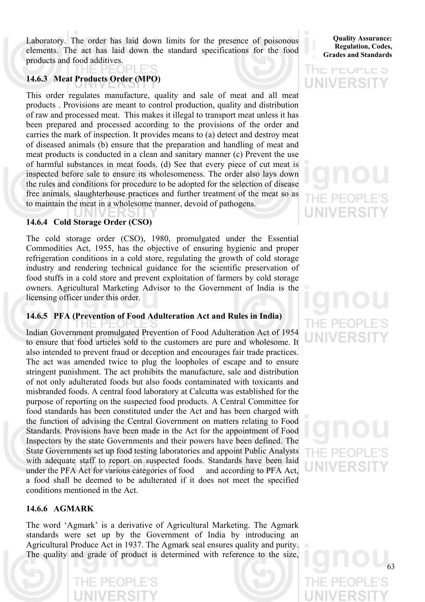Laboratory. The order has laid down limits for the presence of poisonous elements. The act has laid down the standard specifications for the food products and food additives.

## **14.6.3 Meat Products Order (MPO)**

This order regulates manufacture, quality and sale of meat and all meat products . Provisions are meant to control production, quality and distribution of raw and processed meat. This makes it illegal to transport meat unless it has been prepared and processed according to the provisions of the order and carries the mark of inspection. It provides means to (a) detect and destroy meat of diseased animals (b) ensure that the preparation and handling of meat and meat products is conducted in a clean and sanitary manner (c) Prevent the use of harmful substances in meat foods. (d) See that every piece of cut meat is inspected before sale to ensure its wholesomeness. The order also lays down the rules and conditions for procedure to be adopted for the selection of disease free animals, slaughterhouse practices and further treatment of the meat so as to maintain the meat in a wholesome manner, devoid of pathogens.

## **14.6.4 Cold Storage Order (CSO)**

The cold storage order (CSO), 1980, promulgated under the Essential Commodities Act, 1955, has the objective of ensuring hygienic and proper refrigeration conditions in a cold store, regulating the growth of cold storage industry and rendering technical guidance for the scientific preservation of food stuffs in a cold store and prevent exploitation of farmers by cold storage owners. Agricultural Marketing Advisor to the Government of India is the licensing officer under this order.

## **14.6.5 PFA (Prevention of Food Adulteration Act and Rules in India)**

Indian Government promulgated Prevention of Food Adulteration Act of 1954 to ensure that food articles sold to the customers are pure and wholesome. It also intended to prevent fraud or deception and encourages fair trade practices. The act was amended twice to plug the loopholes of escape and to ensure stringent punishment. The act prohibits the manufacture, sale and distribution of not only adulterated foods but also foods contaminated with toxicants and misbranded foods. A central food laboratory at Calcutta was established for the purpose of reporting on the suspected food products. A Central Committee for food standards has been constituted under the Act and has been charged with the function of advising the Central Government on matters relating to Food Standards. Provisions have been made in the Act for the appointment of Food Inspectors by the state Governments and their powers have been defined. The State Governments set up food testing laboratories and appoint Public Analysts with adequate staff to report on suspected foods. Standards have been laid under the PFA Act for various categories of food and according to PFA Act, a food shall be deemed to be adulterated if it does not meet the specified conditions mentioned in the Act.

## **14.6.6 AGMARK**

DЕ

The word 'Agmark' is a derivative of Agricultural Marketing. The Agmark standards were set up by the Government of India by introducing an Agricultural Produce Act in 1937. The Agmark seal ensures quality and purity. The quality and grade of product is determined with reference to the size,

**Quality Assurance: Regulation, Codes, Grades and Standards**

## **HE PEUPLE 5 UNIVERSI**

# UNIVERS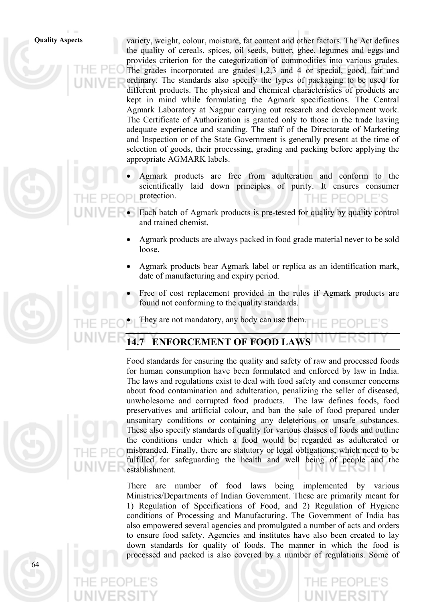**Quality Aspects** variety, weight, colour, moisture, fat content and other factors. The Act defines the quality of cereals, spices, oil seeds, butter, ghee, legumes and eggs and provides criterion for the categorization of commodities into various grades. The grades incorporated are grades 1,2,3 and 4 or special, good, fair and ordinary. The standards also specify the types of packaging to be used for different products. The physical and chemical characteristics of products are kept in mind while formulating the Agmark specifications. The Central Agmark Laboratory at Nagpur carrying out research and development work. The Certificate of Authorization is granted only to those in the trade having adequate experience and standing. The staff of the Directorate of Marketing and Inspection or of the State Government is generally present at the time of selection of goods, their processing, grading and packing before applying the appropriate AGMARK labels.

- Agmark products are free from adulteration and conform to the scientifically laid down principles of purity. It ensures consumer protection. IF PFOPLE'S
- Each batch of Agmark products is pre-tested for quality by quality control and trained chemist.
- Agmark products are always packed in food grade material never to be sold loose.
- Agmark products bear Agmark label or replica as an identification mark, date of manufacturing and expiry period.

• Free of cost replacement provided in the rules if Agmark products are found not conforming to the quality standards.

They are not mandatory, any body can use them.

## **14.7 ENFORCEMENT OF FOOD LAWS**

Food standards for ensuring the quality and safety of raw and processed foods for human consumption have been formulated and enforced by law in India. The laws and regulations exist to deal with food safety and consumer concerns about food contamination and adulteration, penalizing the seller of diseased, unwholesome and corrupted food products. The law defines foods, food preservatives and artificial colour, and ban the sale of food prepared under unsanitary conditions or containing any deleterious or unsafe substances. These also specify standards of quality for various classes of foods and outline the conditions under which a food would be regarded as adulterated or misbranded. Finally, there are statutory or legal obligations, which need to be fulfilled for safeguarding the health and well being of people and the establishment.

There are number of food laws being implemented by various Ministries/Departments of Indian Government. These are primarily meant for 1) Regulation of Specifications of Food, and 2) Regulation of Hygiene conditions of Processing and Manufacturing. The Government of India has also empowered several agencies and promulgated a number of acts and orders to ensure food safety. Agencies and institutes have also been created to lay down standards for quality of foods. The manner in which the food is processed and packed is also covered by a number of regulations. Some of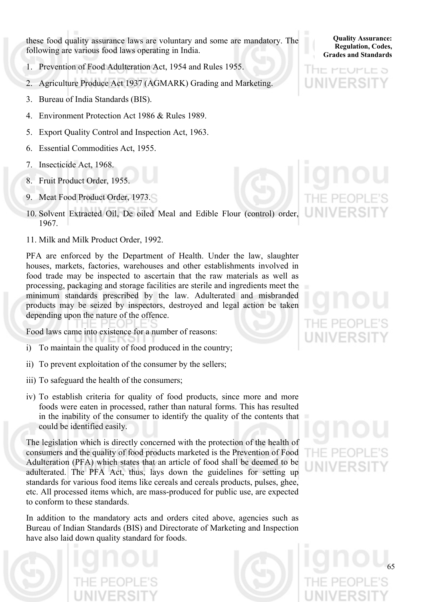these food quality assurance laws are voluntary and some are mandatory. The following are various food laws operating in India.

- 1. Prevention of Food Adulteration Act, 1954 and Rules 1955.
- 2. Agriculture Produce Act 1937 (AGMARK) Grading and Marketing.
- 3. Bureau of India Standards (BIS).
- 4. Environment Protection Act 1986 & Rules 1989.
- 5. Export Quality Control and Inspection Act, 1963.
- 6. Essential Commodities Act, 1955.
- 7. Insecticide Act, 1968.
- 8. Fruit Product Order, 1955.
- 9. Meat Food Product Order, 1973.
- 10. Solvent Extracted Oil, De oiled Meal and Edible Flour (control) order, 1967.
- 11. Milk and Milk Product Order, 1992.

PFA are enforced by the Department of Health. Under the law, slaughter houses, markets, factories, warehouses and other establishments involved in food trade may be inspected to ascertain that the raw materials as well as processing, packaging and storage facilities are sterile and ingredients meet the minimum standards prescribed by the law. Adulterated and misbranded products may be seized by inspectors, destroyed and legal action be taken depending upon the nature of the offence.

Food laws came into existence for a number of reasons:

- i) To maintain the quality of food produced in the country;
- ii) To prevent exploitation of the consumer by the sellers;
- iii) To safeguard the health of the consumers;
- iv) To establish criteria for quality of food products, since more and more foods were eaten in processed, rather than natural forms. This has resulted in the inability of the consumer to identify the quality of the contents that could be identified easily.

The legislation which is directly concerned with the protection of the health of consumers and the quality of food products marketed is the Prevention of Food Adulteration (PFA) which states that an article of food shall be deemed to be adulterated. The PFA Act, thus, lays down the guidelines for setting up standards for various food items like cereals and cereals products, pulses, ghee, etc. All processed items which, are mass-produced for public use, are expected to conform to these standards.

In addition to the mandatory acts and orders cited above, agencies such as Bureau of Indian Standards (BIS) and Directorate of Marketing and Inspection have also laid down quality standard for foods.



**Quality Assurance: Regulation, Codes, Grades and Standards**

lihe Peuple S

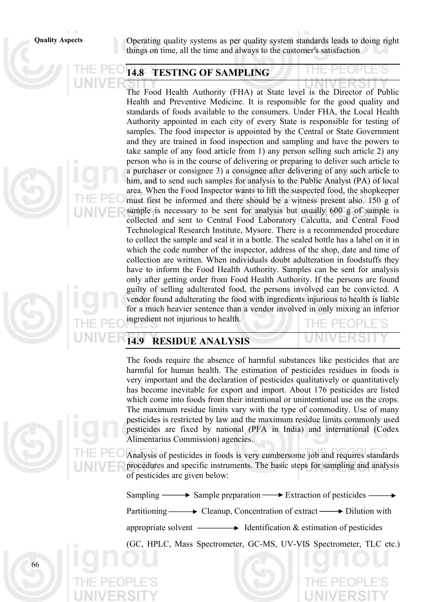66

**Quality Aspects** Operating quality systems as per quality system standards leads to doing right things on time, all the time and always to the customer's satisfaction

## **14.8 TESTING OF SAMPLING**

The Food Health Authority (FHA) at State level is the Director of Public Health and Preventive Medicine. It is responsible for the good quality and standards of foods available to the consumers. Under FHA, the Local Health Authority appointed in each city of every State is responsible for testing of samples. The food inspector is appointed by the Central or State Government and they are trained in food inspection and sampling and have the powers to take sample of any food article from 1) any person selling such article 2) any person who is in the course of delivering or preparing to deliver such article to a purchaser or consignee 3) a consignee after delivering of any such article to him, and to send such samples for analysis to the Public Analyst (PA) of local area. When the Food Inspector wants to lift the suspected food, the shopkeeper must first be informed and there should be a witness present also. 150 g of sample is necessary to be sent for analysis but usually 600 g of sample is collected and sent to Central Food Laboratory Calcutta, and Central Food Technological Research Institute, Mysore. There is a recommended procedure to collect the sample and seal it in a bottle. The sealed bottle has a label on it in which the code number of the inspector, address of the shop, date and time of collection are written. When individuals doubt adulteration in foodstuffs they have to inform the Food Health Authority. Samples can be sent for analysis only after getting order from Food Health Authority. If the persons are found guilty of selling adulterated food, the persons involved can be convicted. A vendor found adulterating the food with ingredients injurious to health is liable for a much heavier sentence than a vendor involved in only mixing an inferior ingredient not injurious to health.

## **14.9 RESIDUE ANALYSIS**

The foods require the absence of harmful substances like pesticides that are harmful for human health. The estimation of pesticides residues in foods is very important and the declaration of pesticides qualitatively or quantitatively has become inevitable for export and import. About 176 pesticides are listed which come into foods from their intentional or unintentional use on the crops. The maximum residue limits vary with the type of commodity. Use of many pesticides is restricted by law and the maximum residue limits commonly used pesticides are fixed by national (PFA in India) and international (Codex Alimentarius Commission) agencies.

Analysis of pesticides in foods is very cumbersome job and requires standards procedures and specific instruments. The basic steps for sampling and analysis of pesticides are given below:

Sampling  $\longrightarrow$  Sample preparation  $\longrightarrow$  Extraction of pesticides  $\longrightarrow$ 

Partitioning  $\longrightarrow$  Cleanup, Concentration of extract  $\longrightarrow$  Dilution with

appropriate solvent  $\longrightarrow$  Identification & estimation of pesticides

(GC, HPLC, Mass Spectrometer, GC-MS, UV-VIS Spectrometer, TLC etc.)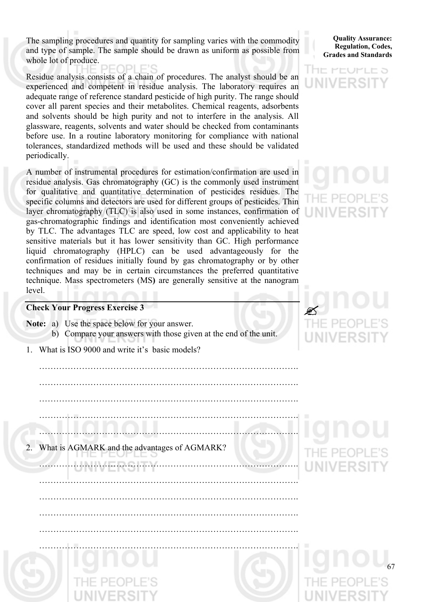The sampling procedures and quantity for sampling varies with the commodity and type of sample. The sample should be drawn as uniform as possible from whole lot of produce.

Residue analysis consists of a chain of procedures. The analyst should be an experienced and competent in residue analysis. The laboratory requires an adequate range of reference standard pesticide of high purity. The range should cover all parent species and their metabolites. Chemical reagents, adsorbents and solvents should be high purity and not to interfere in the analysis. All glassware, reagents, solvents and water should be checked from contaminants before use. In a routine laboratory monitoring for compliance with national tolerances, standardized methods will be used and these should be validated periodically.

A number of instrumental procedures for estimation/confirmation are used in residue analysis. Gas chromatography (GC) is the commonly used instrument for qualitative and quantitative determination of pesticides residues. The specific columns and detectors are used for different groups of pesticides. Thin layer chromatography (TLC) is also used in some instances, confirmation of gas-chromatographic findings and identification most conveniently achieved by TLC. The advantages TLC are speed, low cost and applicability to heat sensitive materials but it has lower sensitivity than GC. High performance liquid chromatography (HPLC) can be used advantageously for the confirmation of residues initially found by gas chromatography or by other techniques and may be in certain circumstances the preferred quantitative technique. Mass spectrometers (MS**)** are generally sensitive at the nanogram level.

### **Check Your Progress Exercise 3**

**Note:** a) Use the space below for your answer. b) Compare your answers with those given at the end of the unit.

……………………………………………………………………………….

……………………………………………………………………………….

……………………………………………………………………………….

……………………………………………………………………………….

1. What is ISO 9000 and write it's basic models?

 ………………………………………………………………………………. ………………………………………………………………………………. ………………………………………………………………………………. ………………………………………………………………………………. ………………………………………………………………………………. 2. What is AGMARK and the advantages of AGMARK? ………………………………………………………………………………. ……………………………………………………………………………….

### **Quality Assurance: Regulation, Codes, Grades and Standards**

## HE PEUPLE 5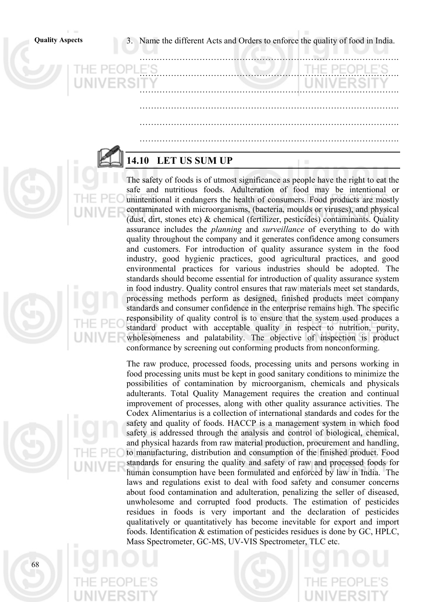**Quality Aspects** 3. Name the different Acts and Orders to enforce the quality of food in India.

……………………………………………………………………………….

……………………………………………………………………………….

……………………………………………………………………………….

……………………………………………………………………………….

……………………………………………………………………………….

……………………………………………………………………………….

## **14.10 LET US SUM UP**

The safety of foods is of utmost significance as people have the right to eat the safe and nutritious foods. Adulteration of food may be intentional or unintentional it endangers the health of consumers. Food products are mostly contaminated with microorganisms, (bacteria, moulds or viruses), and physical (dust, dirt, stones etc) & chemical (fertilizer, pesticides) contaminants. Quality assurance includes the *planning* and *surveillance* of everything to do with quality throughout the company and it generates confidence among consumers and customers. For introduction of quality assurance system in the food industry, good hygienic practices, good agricultural practices, and good environmental practices for various industries should be adopted. The standards should become essential for introduction of quality assurance system in food industry. Quality control ensures that raw materials meet set standards, processing methods perform as designed, finished products meet company standards and consumer confidence in the enterprise remains high. The specific responsibility of quality control is to ensure that the system used produces a standard product with acceptable quality in respect to nutrition, purity, wholesomeness and palatability. The objective of inspection is product conformance by screening out conforming products from nonconforming.

The raw produce, processed foods, processing units and persons working in food processing units must be kept in good sanitary conditions to minimize the possibilities of contamination by microorganism, chemicals and physicals adulterants. Total Quality Management requires the creation and continual improvement of processes, along with other quality assurance activities. The Codex Alimentarius is a collection of international standards and codes for the safety and quality of foods. HACCP is a management system in which food safety is addressed through the analysis and control of biological, chemical, and physical hazards from raw material production, procurement and handling, to manufacturing, distribution and consumption of the finished product. Food standards for ensuring the quality and safety of raw and processed foods for human consumption have been formulated and enforced by law in India. The laws and regulations exist to deal with food safety and consumer concerns about food contamination and adulteration, penalizing the seller of diseased, unwholesome and corrupted food products. The estimation of pesticides residues in foods is very important and the declaration of pesticides qualitatively or quantitatively has become inevitable for export and import foods. Identification & estimation of pesticides residues is done by GC, HPLC, Mass Spectrometer, GC-MS, UV-VIS Spectrometer, TLC etc.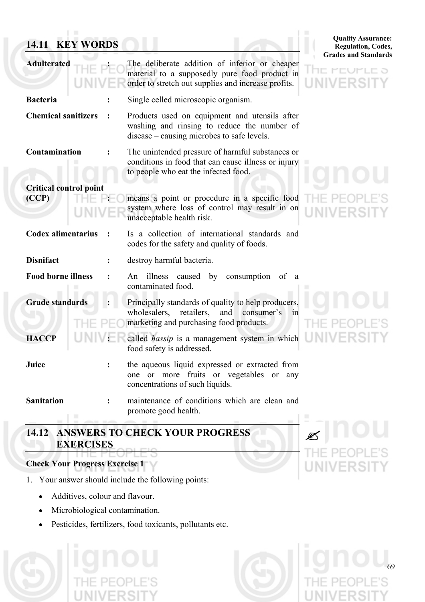## **14.11 KEY WORDS**

| <b>Quality Assurance:</b>   |
|-----------------------------|
| <b>Regulation, Codes,</b>   |
| <b>Grades and Standards</b> |

69

 $\cancel{\mathfrak{B}}$ 

|                               |                                                                                                                                                                            | <b>Grades and Standard</b> |
|-------------------------------|----------------------------------------------------------------------------------------------------------------------------------------------------------------------------|----------------------------|
| <b>Adulterated</b>            | The deliberate addition of inferior or cheaper<br>material to a supposedly pure food product in<br>order to stretch out supplies and increase profits.                     |                            |
| <b>Bacteria</b>               | Single celled microscopic organism.                                                                                                                                        |                            |
| <b>Chemical sanitizers</b>    | Products used on equipment and utensils after<br>washing and rinsing to reduce the number of<br>disease – causing microbes to safe levels.                                 |                            |
| Contamination                 | The unintended pressure of harmful substances or<br>conditions in food that can cause illness or injury<br>to people who eat the infected food.                            |                            |
| <b>Critical control point</b> |                                                                                                                                                                            |                            |
| (CCP)                         | means a point or procedure in a specific food<br>system where loss of control may result in on<br>unacceptable health risk.                                                |                            |
| <b>Codex alimentarius</b>     | Is a collection of international standards and<br>codes for the safety and quality of foods.                                                                               |                            |
| <b>Disnifact</b>              | destroy harmful bacteria.                                                                                                                                                  |                            |
| <b>Food borne illness</b>     | An illness caused<br>by<br>consumption<br>of<br>- a<br>contaminated food.                                                                                                  |                            |
| <b>Grade standards</b>        | Principally standards of quality to help producers,<br>wholesalers,<br>retailers.<br>and<br>consumer's<br>$\overline{\text{m}}$<br>marketing and purchasing food products. |                            |
| <b>HACCP</b>                  | called <i>hassip</i> is a management system in which<br>food safety is addressed.                                                                                          |                            |
| Juice                         | the aqueous liquid expressed or extracted from<br>one or more fruits or vegetables or any<br>concentrations of such liquids.                                               |                            |
| <b>Sanitation</b>             | maintenance of conditions which are clean and<br>promote good health.                                                                                                      |                            |

## **14.12 ANSWERS TO CHECK YOUR PROGRESS EXERCISES**

## **Check Your Progress Exercise 1**

- 1. Your answer should include the following points:
	- Additives, colour and flavour.
	- Microbiological contamination.
	- Pesticides, fertilizers, food toxicants, pollutants etc.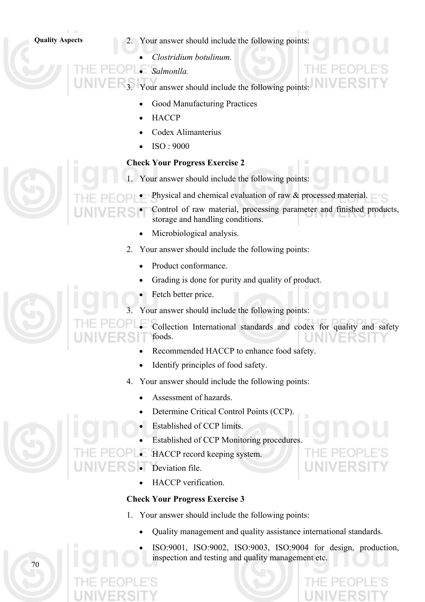- **Quality Aspects** 2. Your answer should include the following points:
	- *Clostridium botulinum.*

• *Salmonlla.* 

Your answer should include the following points:

- Good Manufacturing Practices
- **HACCP**
- Codex Alimanterius
- ISO : 9000

## **Check Your Progress Exercise 2**

Your answer should include the following points:

- Physical and chemical evaluation of raw & processed material.
	- Control of raw material, processing parameter and finished products, storage and handling conditions.
	- Microbiological analysis.
- 2. Your answer should include the following points:
	- Product conformance.
	- Grading is done for purity and quality of product.
	- Fetch better price.
- 3. Your answer should include the following points:
- Collection International standards and codex for quality and safety foods.
	- Recommended HACCP to enhance food safety.
	- Identify principles of food safety.
	- 4. Your answer should include the following points:
		- Assessment of hazards.
		- Determine Critical Control Points (CCP).
		- Established of CCP limits.
		- Established of CCP Monitoring procedures.
	- HACCP record keeping system.
		- Deviation file.
			- HACCP verification.

## **Check Your Progress Exercise 3**

- 1. Your answer should include the following points:
	- Quality management and quality assistance international standards.
	- ISO:9001, ISO:9002, ISO:9003, ISO:9004 for design, production, inspection and testing and quality management etc.